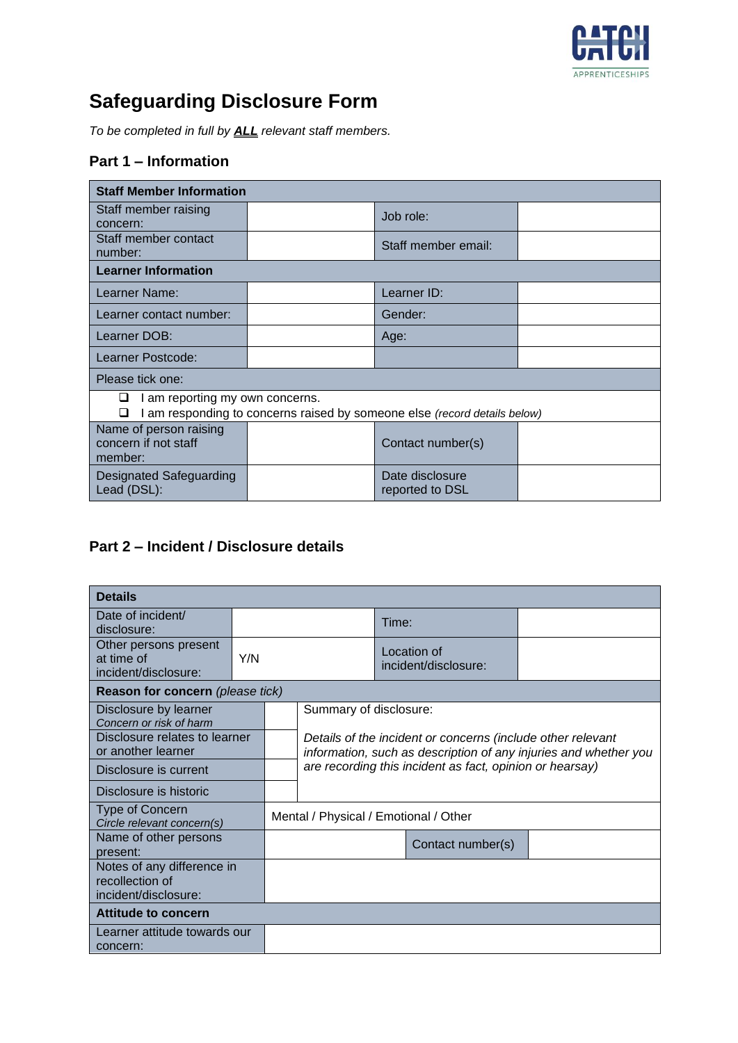

# **Safeguarding Disclosure Form**

*To be completed in full by ALL relevant staff members.*

#### **Part 1 – Information**

| <b>Staff Member Information</b>                                                                                    |  |                                    |  |  |  |
|--------------------------------------------------------------------------------------------------------------------|--|------------------------------------|--|--|--|
| Staff member raising<br>concern:                                                                                   |  | Job role:                          |  |  |  |
| Staff member contact<br>number:                                                                                    |  | Staff member email:                |  |  |  |
| <b>Learner Information</b>                                                                                         |  |                                    |  |  |  |
| Learner Name:                                                                                                      |  | Learner ID:                        |  |  |  |
| Learner contact number:                                                                                            |  | Gender:                            |  |  |  |
| Learner DOB:                                                                                                       |  | Age:                               |  |  |  |
| Learner Postcode:                                                                                                  |  |                                    |  |  |  |
| Please tick one:                                                                                                   |  |                                    |  |  |  |
| am reporting my own concerns.<br>u<br>am responding to concerns raised by someone else (record details below)<br>◻ |  |                                    |  |  |  |
| Name of person raising<br>concern if not staff<br>member:                                                          |  | Contact number(s)                  |  |  |  |
| Designated Safeguarding<br>Lead (DSL):                                                                             |  | Date disclosure<br>reported to DSL |  |  |  |

#### **Part 2 – Incident / Disclosure details**

| <b>Details</b>                                                        |                                       |                        |       |                                                                                                                                 |                   |  |
|-----------------------------------------------------------------------|---------------------------------------|------------------------|-------|---------------------------------------------------------------------------------------------------------------------------------|-------------------|--|
| Date of incident/<br>disclosure:                                      |                                       |                        | Time: |                                                                                                                                 |                   |  |
| Other persons present<br>at time of<br>incident/disclosure:           | Y/N                                   |                        |       | Location of<br>incident/disclosure:                                                                                             |                   |  |
| <b>Reason for concern</b> (please tick)                               |                                       |                        |       |                                                                                                                                 |                   |  |
| Disclosure by learner<br>Concern or risk of harm                      |                                       | Summary of disclosure: |       |                                                                                                                                 |                   |  |
| Disclosure relates to learner<br>or another learner                   |                                       |                        |       | Details of the incident or concerns (include other relevant<br>information, such as description of any injuries and whether you |                   |  |
| Disclosure is current                                                 |                                       |                        |       | are recording this incident as fact, opinion or hearsay)                                                                        |                   |  |
| Disclosure is historic                                                |                                       |                        |       |                                                                                                                                 |                   |  |
| <b>Type of Concern</b><br>Circle relevant concern(s)                  | Mental / Physical / Emotional / Other |                        |       |                                                                                                                                 |                   |  |
| Name of other persons<br>present:                                     |                                       |                        |       |                                                                                                                                 | Contact number(s) |  |
| Notes of any difference in<br>recollection of<br>incident/disclosure: |                                       |                        |       |                                                                                                                                 |                   |  |
| Attitude to concern                                                   |                                       |                        |       |                                                                                                                                 |                   |  |
| Learner attitude towards our<br>concern:                              |                                       |                        |       |                                                                                                                                 |                   |  |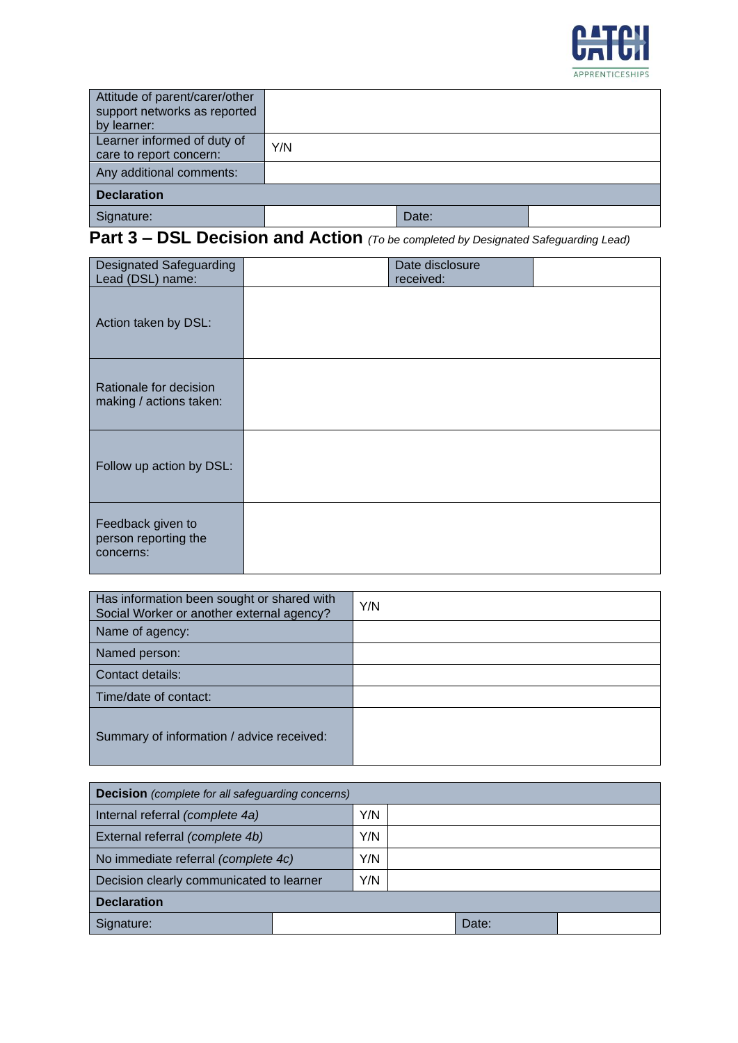

| Attitude of parent/carer/other<br>support networks as reported<br>by learner: |     |       |  |
|-------------------------------------------------------------------------------|-----|-------|--|
| Learner informed of duty of<br>care to report concern:                        | Y/N |       |  |
| Any additional comments:                                                      |     |       |  |
| <b>Declaration</b>                                                            |     |       |  |
| Signature:                                                                    |     | Date: |  |

### **Part 3 – DSL Decision and Action** *(To be completed by Designated Safeguarding Lead)*

| <b>Designated Safeguarding</b><br>Lead (DSL) name:     | Date disclosure<br>received: |  |
|--------------------------------------------------------|------------------------------|--|
| Action taken by DSL:                                   |                              |  |
| Rationale for decision<br>making / actions taken:      |                              |  |
| Follow up action by DSL:                               |                              |  |
| Feedback given to<br>person reporting the<br>concerns: |                              |  |

| Has information been sought or shared with<br>Social Worker or another external agency? | Y/N |
|-----------------------------------------------------------------------------------------|-----|
| Name of agency:                                                                         |     |
| Named person:                                                                           |     |
| Contact details:                                                                        |     |
| Time/date of contact:                                                                   |     |
| Summary of information / advice received:                                               |     |

| <b>Decision</b> (complete for all safequarding concerns) |  |     |  |       |  |
|----------------------------------------------------------|--|-----|--|-------|--|
| Internal referral (complete 4a)                          |  | Y/N |  |       |  |
| External referral (complete 4b)                          |  | Y/N |  |       |  |
| No immediate referral (complete 4c)                      |  | Y/N |  |       |  |
| Decision clearly communicated to learner                 |  | Y/N |  |       |  |
| <b>Declaration</b>                                       |  |     |  |       |  |
| Signature:                                               |  |     |  | Date: |  |